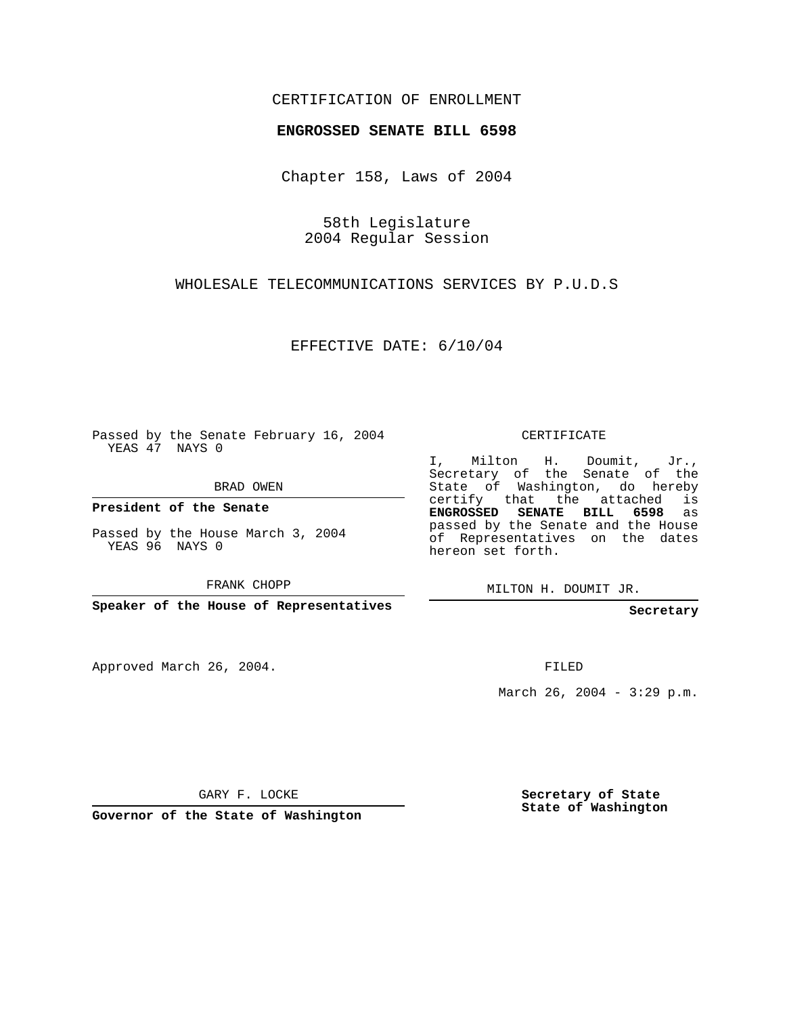## CERTIFICATION OF ENROLLMENT

## **ENGROSSED SENATE BILL 6598**

Chapter 158, Laws of 2004

58th Legislature 2004 Regular Session

WHOLESALE TELECOMMUNICATIONS SERVICES BY P.U.D.S

EFFECTIVE DATE: 6/10/04

Passed by the Senate February 16, 2004 YEAS 47 NAYS 0

BRAD OWEN

**President of the Senate**

Passed by the House March 3, 2004 YEAS 96 NAYS 0

FRANK CHOPP

**Speaker of the House of Representatives**

Approved March 26, 2004.

CERTIFICATE

I, Milton H. Doumit, Jr., Secretary of the Senate of the State of Washington, do hereby certify that the attached is **ENGROSSED SENATE BILL 6598** as passed by the Senate and the House of Representatives on the dates hereon set forth.

MILTON H. DOUMIT JR.

**Secretary**

FILED

March 26, 2004 - 3:29 p.m.

GARY F. LOCKE

**Governor of the State of Washington**

**Secretary of State State of Washington**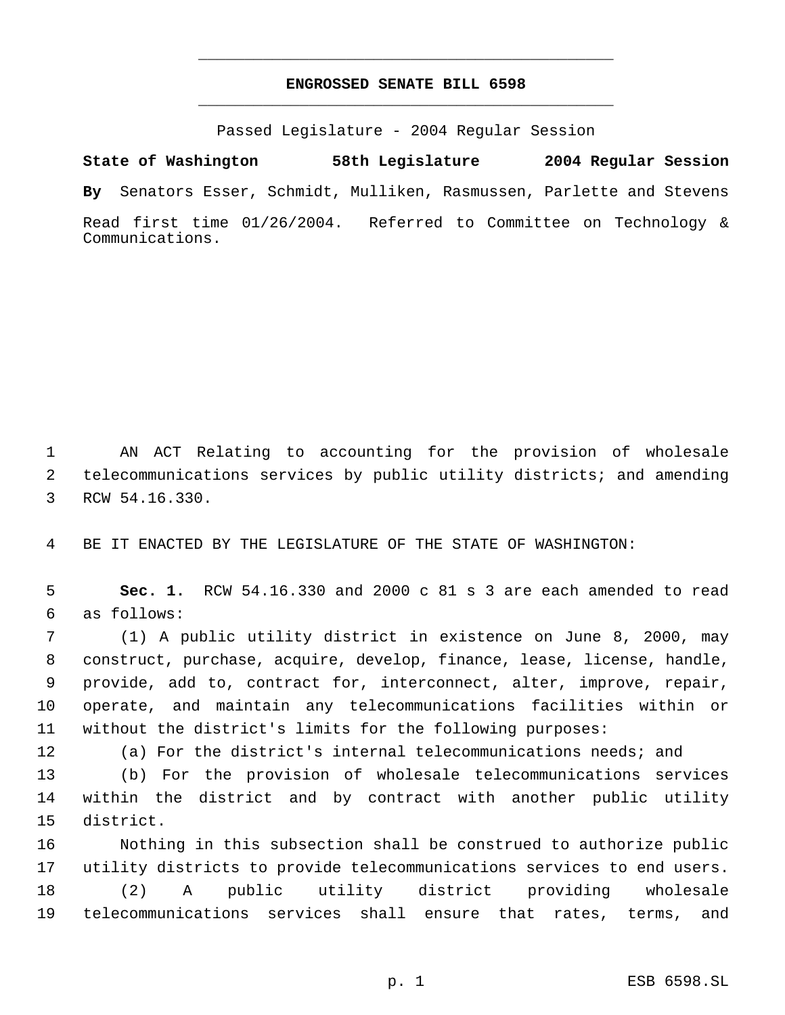## **ENGROSSED SENATE BILL 6598** \_\_\_\_\_\_\_\_\_\_\_\_\_\_\_\_\_\_\_\_\_\_\_\_\_\_\_\_\_\_\_\_\_\_\_\_\_\_\_\_\_\_\_\_\_

\_\_\_\_\_\_\_\_\_\_\_\_\_\_\_\_\_\_\_\_\_\_\_\_\_\_\_\_\_\_\_\_\_\_\_\_\_\_\_\_\_\_\_\_\_

Passed Legislature - 2004 Regular Session

**State of Washington 58th Legislature 2004 Regular Session By** Senators Esser, Schmidt, Mulliken, Rasmussen, Parlette and Stevens Read first time 01/26/2004. Referred to Committee on Technology & Communications.

 AN ACT Relating to accounting for the provision of wholesale telecommunications services by public utility districts; and amending RCW 54.16.330.

BE IT ENACTED BY THE LEGISLATURE OF THE STATE OF WASHINGTON:

 **Sec. 1.** RCW 54.16.330 and 2000 c 81 s 3 are each amended to read as follows:

 (1) A public utility district in existence on June 8, 2000, may construct, purchase, acquire, develop, finance, lease, license, handle, provide, add to, contract for, interconnect, alter, improve, repair, operate, and maintain any telecommunications facilities within or without the district's limits for the following purposes:

(a) For the district's internal telecommunications needs; and

 (b) For the provision of wholesale telecommunications services within the district and by contract with another public utility district.

 Nothing in this subsection shall be construed to authorize public utility districts to provide telecommunications services to end users. (2) A public utility district providing wholesale telecommunications services shall ensure that rates, terms, and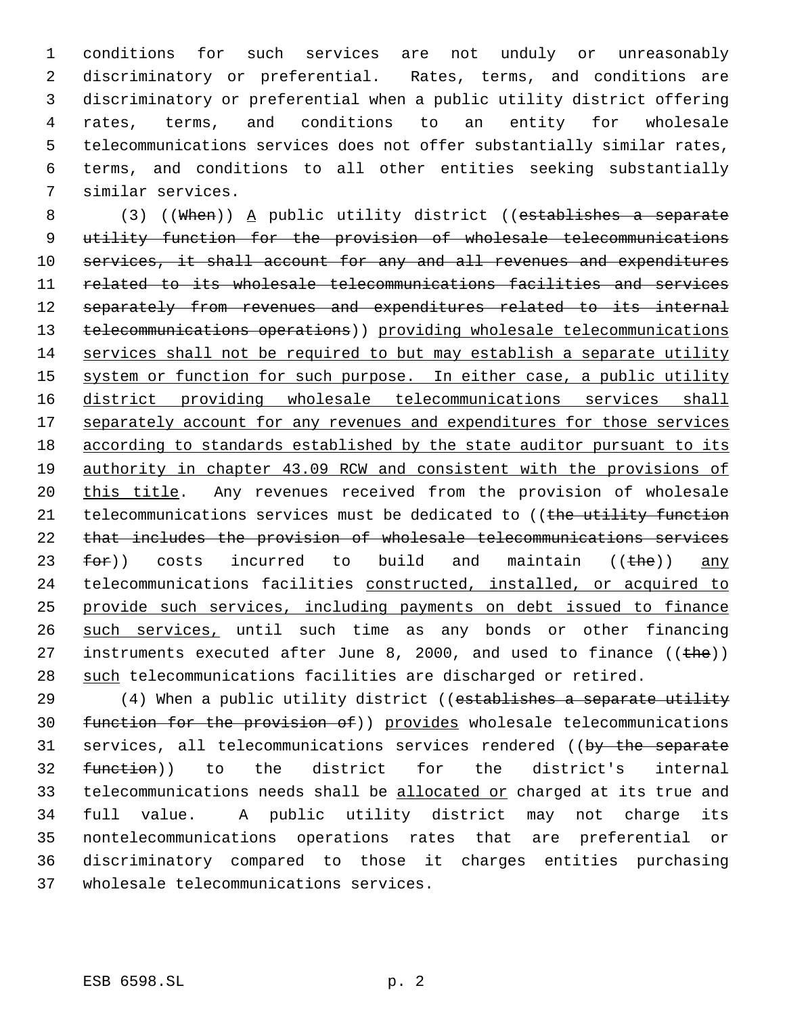conditions for such services are not unduly or unreasonably discriminatory or preferential. Rates, terms, and conditions are discriminatory or preferential when a public utility district offering rates, terms, and conditions to an entity for wholesale telecommunications services does not offer substantially similar rates, terms, and conditions to all other entities seeking substantially similar services.

8 (3) ((When)) A public utility district ((establishes a separate 9 utility function for the provision of wholesale telecommunications 10 services, it shall account for any and all revenues and expenditures 11 related to its wholesale telecommunications facilities and services 12 separately from revenues and expenditures related to its internal 13 telecommunications operations)) providing wholesale telecommunications 14 services shall not be required to but may establish a separate utility 15 system or function for such purpose. In either case, a public utility 16 district providing wholesale telecommunications services shall 17 separately account for any revenues and expenditures for those services 18 according to standards established by the state auditor pursuant to its 19 authority in chapter 43.09 RCW and consistent with the provisions of 20 this title. Any revenues received from the provision of wholesale 21 telecommunications services must be dedicated to ((the utility function 22 that includes the provision of wholesale telecommunications services 23  $f$ or)) costs incurred to build and maintain (( $f$ he)) any 24 telecommunications facilities constructed, installed, or acquired to 25 provide such services, including payments on debt issued to finance 26 such services, until such time as any bonds or other financing 27 instruments executed after June 8, 2000, and used to finance  $((the)<sub>h</sub>)$ 28 such telecommunications facilities are discharged or retired.

29 (4) When a public utility district ((establishes a separate utility 30 function for the provision of)) provides wholesale telecommunications 31 services, all telecommunications services rendered ((by the separate 32 function)) to the district for the district's internal 33 telecommunications needs shall be allocated or charged at its true and 34 full value. A public utility district may not charge its 35 nontelecommunications operations rates that are preferential or 36 discriminatory compared to those it charges entities purchasing 37 wholesale telecommunications services.